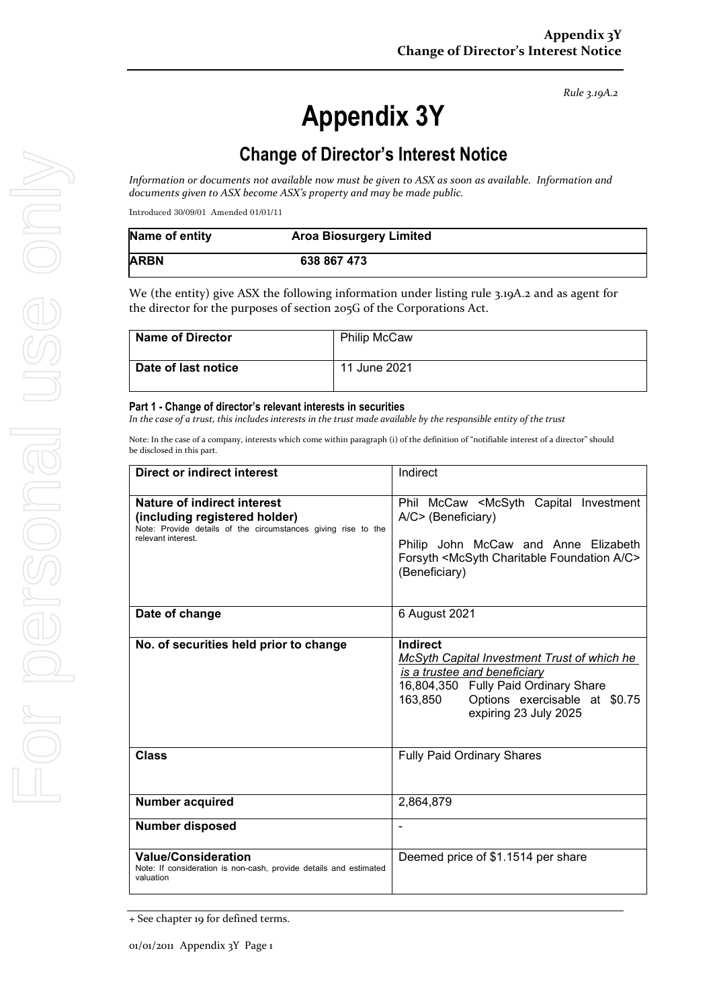*Rule 3.19A.2*

# **Appendix 3Y**

# **Change of Director's Interest Notice**

*Information or documents not available now must be given to ASX as soon as available. Information and documents given to ASX become ASX's property and may be made public.*

Introduced 30/09/01 Amended 01/01/11

| Name of entity | <b>Aroa Biosurgery Limited</b> |  |
|----------------|--------------------------------|--|
| <b>ARBN</b>    | 638 867 473                    |  |

We (the entity) give ASX the following information under listing rule 3.19A.2 and as agent for the director for the purposes of section 205G of the Corporations Act.

| <b>Name of Director</b> | <b>Philip McCaw</b> |
|-------------------------|---------------------|
| Date of last notice     | 11 June 2021        |

#### **Part 1 - Change of director's relevant interests in securities**

*In the case of a trust, this includes interests in the trust made available by the responsible entity of the trust*

Note: In the case of a company, interests which come within paragraph (i) of the definition of "notifiable interest of a director" should be disclosed in this part.

| <b>Direct or indirect interest</b>                                                                                                                  | Indirect                                                                                                                                                                                                     |  |
|-----------------------------------------------------------------------------------------------------------------------------------------------------|--------------------------------------------------------------------------------------------------------------------------------------------------------------------------------------------------------------|--|
| Nature of indirect interest<br>(including registered holder)<br>Note: Provide details of the circumstances giving rise to the<br>relevant interest. | Phil McCaw <mcsyth capital="" investment<br="">A/C&gt; (Beneficiary)<br/>Philip John McCaw and Anne Elizabeth<br/>Forsyth <mcsyth a="" c="" charitable="" foundation=""><br/>(Beneficiary)</mcsyth></mcsyth> |  |
| Date of change                                                                                                                                      | 6 August 2021                                                                                                                                                                                                |  |
| No. of securities held prior to change                                                                                                              | Indirect<br>McSyth Capital Investment Trust of which he<br>is a trustee and beneficiary<br>16,804,350 Fully Paid Ordinary Share<br>Options exercisable at \$0.75<br>163,850<br>expiring 23 July 2025         |  |
| <b>Class</b>                                                                                                                                        | <b>Fully Paid Ordinary Shares</b>                                                                                                                                                                            |  |
| <b>Number acquired</b>                                                                                                                              | 2,864,879                                                                                                                                                                                                    |  |
| <b>Number disposed</b>                                                                                                                              | ۰                                                                                                                                                                                                            |  |
| <b>Value/Consideration</b><br>Note: If consideration is non-cash, provide details and estimated<br>valuation                                        | Deemed price of \$1.1514 per share                                                                                                                                                                           |  |

<sup>+</sup> See chapter 19 for defined terms.